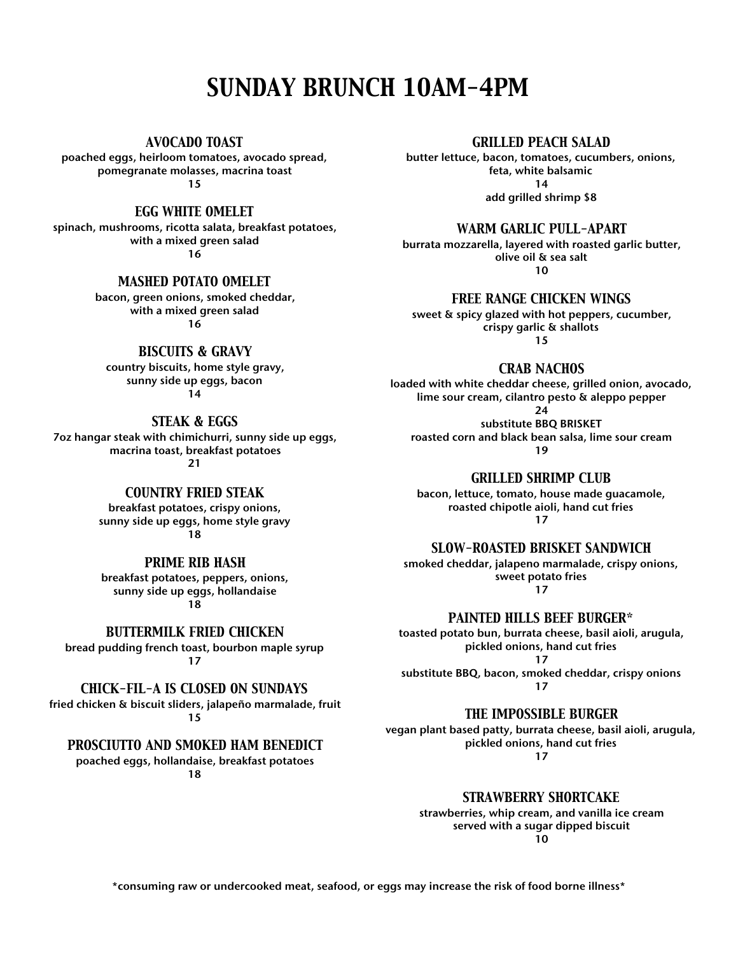# *SUNDAY BRUNCH 10AM-4PM*

*AVOCADO TOAST*

poached eggs, heirloom tomatoes, avocado spread, pomegranate molasses, macrina toast 15

*EGG WHITE OMELET*

spinach, mushrooms, ricotta salata, breakfast potatoes, with a mixed green salad 16

#### *MASHED POTATO OMELET*

bacon, green onions, smoked cheddar, with a mixed green salad 16

### *BISCUITS & GRAVY*

country biscuits, home style gravy, sunny side up eggs, bacon 14

#### *STEAK & EGGS*

7oz hangar steak with chimichurri, sunny side up eggs, macrina toast, breakfast potatoes 21

#### *COUNTRY FRIED STEAK*

breakfast potatoes, crispy onions, sunny side up eggs, home style gravy 18

#### *PRIME RIB HASH*

breakfast potatoes, peppers, onions, sunny side up eggs, hollandaise 18

*BUTTERMILK FRIED CHICKEN*

bread pudding french toast, bourbon maple syrup 17

#### *CHICK-FIL-A IS CLOSED ON SUNDAYS*

fried chicken & biscuit sliders, jalapeño marmalade, fruit 15

#### *PROSCIUTTO AND SMOKED HAM BENEDICT*

poached eggs, hollandaise, breakfast potatoes 18

#### *GRILLED PEACH SALAD*

butter lettuce, bacon, tomatoes, cucumbers, onions, feta, white balsamic  $14$ add grilled shrimp \$8

*WARM GARLIC PULL-APART*

burrata mozzarella, layered with roasted garlic butter, olive oil & sea salt 10

*FREE RANGE CHICKEN WINGS*

sweet & spicy glazed with hot peppers, cucumber, crispy garlic & shallots 15

*CRAB NACHOS*

loaded with white cheddar cheese, grilled onion, avocado, lime sour cream, cilantro pesto & aleppo pepper

24

substitute BBQ BRISKET roasted corn and black bean salsa, lime sour cream 19

*GRILLED SHRIMP CLUB*

bacon, lettuce, tomato, house made guacamole, roasted chipotle aioli, hand cut fries 17

*SLOW-ROASTED BRISKET SANDWICH*

smoked cheddar, jalapeno marmalade, crispy onions, sweet potato fries 17

*PAINTED HILLS BEEF BURGER\**

toasted potato bun, burrata cheese, basil aioli, arugula, pickled onions, hand cut fries

17

substitute BBQ, bacon, smoked cheddar, crispy onions 17

*THE IMPOSSIBLE BURGER*

vegan plant based patty, burrata cheese, basil aioli, arugula, pickled onions, hand cut fries 17

*STRAWBERRY SHORTCAKE*

strawberries, whip cream, and vanilla ice cream served with a sugar dipped biscuit 10

\*consuming raw or undercooked meat, seafood, or eggs may increase the risk of food borne illness\*